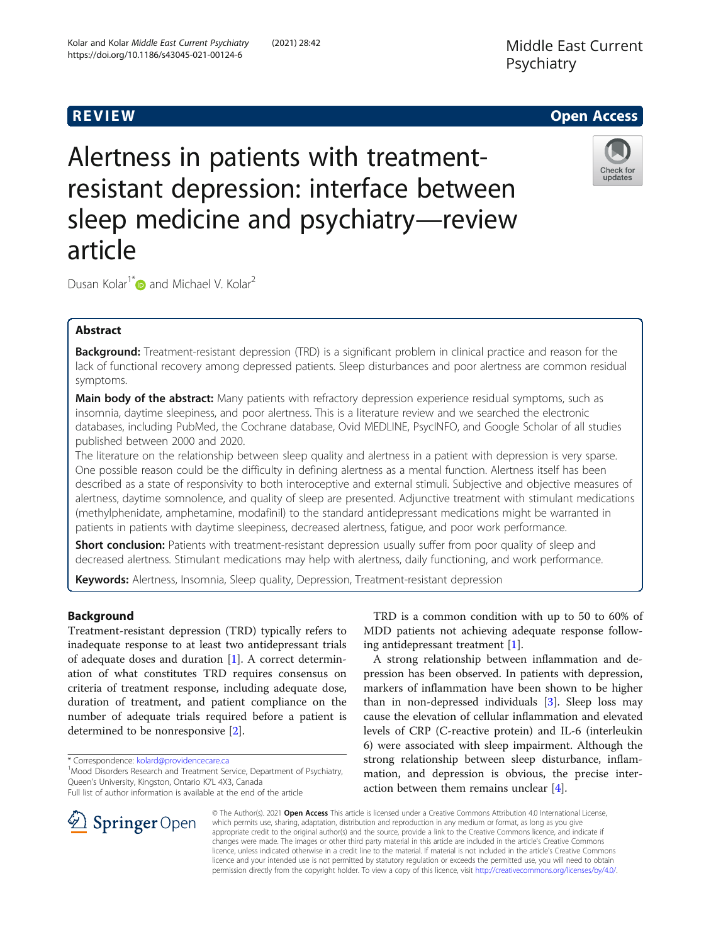# Middle East Current Psychiatry

# **REVIEW CONSTRUCTION CONSTRUCTION CONSTRUCTS**

Alertness in patients with treatmentresistant depression: interface between sleep medicine and psychiatry—review article



Dusan Kolar<sup>1[\\*](http://orcid.org/0000-0003-2353-7989)</sup> and Michael V. Kolar<sup>2</sup>

# Abstract

Background: Treatment-resistant depression (TRD) is a significant problem in clinical practice and reason for the lack of functional recovery among depressed patients. Sleep disturbances and poor alertness are common residual symptoms.

Main body of the abstract: Many patients with refractory depression experience residual symptoms, such as insomnia, daytime sleepiness, and poor alertness. This is a literature review and we searched the electronic databases, including PubMed, the Cochrane database, Ovid MEDLINE, PsycINFO, and Google Scholar of all studies published between 2000 and 2020.

The literature on the relationship between sleep quality and alertness in a patient with depression is very sparse. One possible reason could be the difficulty in defining alertness as a mental function. Alertness itself has been described as a state of responsivity to both interoceptive and external stimuli. Subjective and objective measures of alertness, daytime somnolence, and quality of sleep are presented. Adjunctive treatment with stimulant medications (methylphenidate, amphetamine, modafinil) to the standard antidepressant medications might be warranted in patients in patients with daytime sleepiness, decreased alertness, fatigue, and poor work performance.

Short conclusion: Patients with treatment-resistant depression usually suffer from poor quality of sleep and decreased alertness. Stimulant medications may help with alertness, daily functioning, and work performance.

Keywords: Alertness, Insomnia, Sleep quality, Depression, Treatment-resistant depression

# Background

Treatment-resistant depression (TRD) typically refers to inadequate response to at least two antidepressant trials of adequate doses and duration [[1\]](#page-4-0). A correct determination of what constitutes TRD requires consensus on criteria of treatment response, including adequate dose, duration of treatment, and patient compliance on the number of adequate trials required before a patient is determined to be nonresponsive [[2\]](#page-4-0).

\* Correspondence: [kolard@providencecare.ca](mailto:kolard@providencecare.ca) <sup>1</sup>

<sup>1</sup> Mood Disorders Research and Treatment Service, Department of Psychiatry, Queen's University, Kingston, Ontario K7L 4X3, Canada

Full list of author information is available at the end of the article

TRD is a common condition with up to 50 to 60% of MDD patients not achieving adequate response following antidepressant treatment [\[1](#page-4-0)].

A strong relationship between inflammation and depression has been observed. In patients with depression, markers of inflammation have been shown to be higher than in non-depressed individuals [[3\]](#page-4-0). Sleep loss may cause the elevation of cellular inflammation and elevated levels of CRP (C-reactive protein) and IL-6 (interleukin 6) were associated with sleep impairment. Although the strong relationship between sleep disturbance, inflammation, and depression is obvious, the precise interaction between them remains unclear [\[4\]](#page-4-0).



© The Author(s). 2021 Open Access This article is licensed under a Creative Commons Attribution 4.0 International License, which permits use, sharing, adaptation, distribution and reproduction in any medium or format, as long as you give appropriate credit to the original author(s) and the source, provide a link to the Creative Commons licence, and indicate if changes were made. The images or other third party material in this article are included in the article's Creative Commons licence, unless indicated otherwise in a credit line to the material. If material is not included in the article's Creative Commons licence and your intended use is not permitted by statutory regulation or exceeds the permitted use, you will need to obtain permission directly from the copyright holder. To view a copy of this licence, visit <http://creativecommons.org/licenses/by/4.0/>.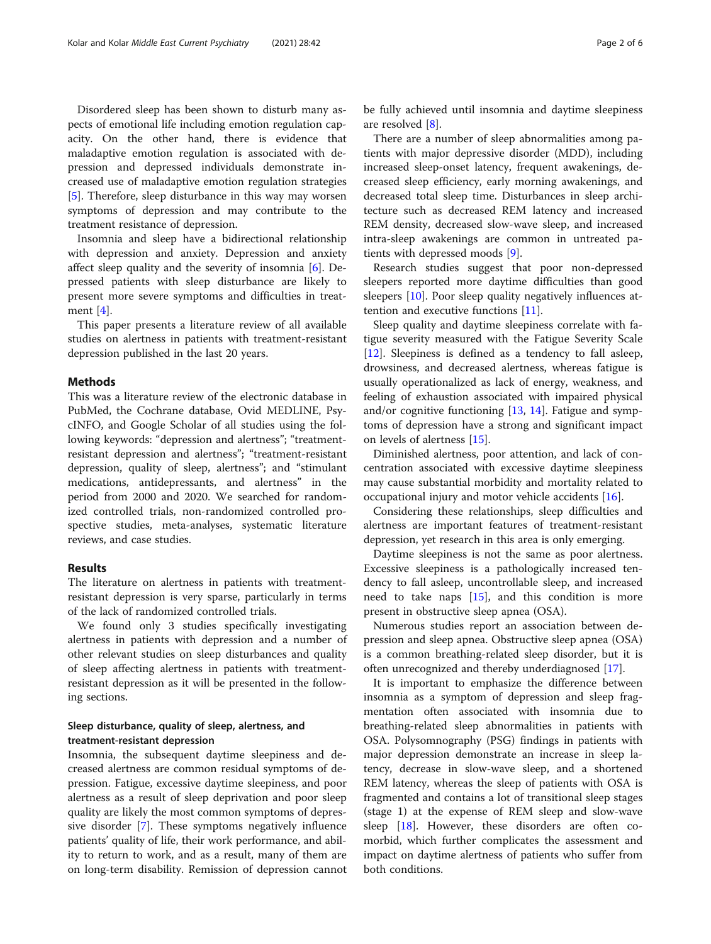Disordered sleep has been shown to disturb many aspects of emotional life including emotion regulation capacity. On the other hand, there is evidence that maladaptive emotion regulation is associated with depression and depressed individuals demonstrate increased use of maladaptive emotion regulation strategies [[5\]](#page-4-0). Therefore, sleep disturbance in this way may worsen symptoms of depression and may contribute to the treatment resistance of depression.

Insomnia and sleep have a bidirectional relationship with depression and anxiety. Depression and anxiety affect sleep quality and the severity of insomnia [[6\]](#page-4-0). Depressed patients with sleep disturbance are likely to present more severe symptoms and difficulties in treatment [[4\]](#page-4-0).

This paper presents a literature review of all available studies on alertness in patients with treatment-resistant depression published in the last 20 years.

# **Methods**

This was a literature review of the electronic database in PubMed, the Cochrane database, Ovid MEDLINE, PsycINFO, and Google Scholar of all studies using the following keywords: "depression and alertness"; "treatmentresistant depression and alertness"; "treatment-resistant depression, quality of sleep, alertness"; and "stimulant medications, antidepressants, and alertness" in the period from 2000 and 2020. We searched for randomized controlled trials, non-randomized controlled prospective studies, meta-analyses, systematic literature reviews, and case studies.

### Results

The literature on alertness in patients with treatmentresistant depression is very sparse, particularly in terms of the lack of randomized controlled trials.

We found only 3 studies specifically investigating alertness in patients with depression and a number of other relevant studies on sleep disturbances and quality of sleep affecting alertness in patients with treatmentresistant depression as it will be presented in the following sections.

# Sleep disturbance, quality of sleep, alertness, and treatment-resistant depression

Insomnia, the subsequent daytime sleepiness and decreased alertness are common residual symptoms of depression. Fatigue, excessive daytime sleepiness, and poor alertness as a result of sleep deprivation and poor sleep quality are likely the most common symptoms of depressive disorder [[7\]](#page-4-0). These symptoms negatively influence patients' quality of life, their work performance, and ability to return to work, and as a result, many of them are on long-term disability. Remission of depression cannot

be fully achieved until insomnia and daytime sleepiness are resolved [[8\]](#page-4-0).

There are a number of sleep abnormalities among patients with major depressive disorder (MDD), including increased sleep-onset latency, frequent awakenings, decreased sleep efficiency, early morning awakenings, and decreased total sleep time. Disturbances in sleep architecture such as decreased REM latency and increased REM density, decreased slow-wave sleep, and increased intra-sleep awakenings are common in untreated patients with depressed moods [[9](#page-4-0)].

Research studies suggest that poor non-depressed sleepers reported more daytime difficulties than good sleepers [\[10](#page-4-0)]. Poor sleep quality negatively influences attention and executive functions [[11\]](#page-4-0).

Sleep quality and daytime sleepiness correlate with fatigue severity measured with the Fatigue Severity Scale [[12\]](#page-4-0). Sleepiness is defined as a tendency to fall asleep, drowsiness, and decreased alertness, whereas fatigue is usually operationalized as lack of energy, weakness, and feeling of exhaustion associated with impaired physical and/or cognitive functioning [[13,](#page-4-0) [14\]](#page-4-0). Fatigue and symptoms of depression have a strong and significant impact on levels of alertness [[15\]](#page-4-0).

Diminished alertness, poor attention, and lack of concentration associated with excessive daytime sleepiness may cause substantial morbidity and mortality related to occupational injury and motor vehicle accidents [[16](#page-5-0)].

Considering these relationships, sleep difficulties and alertness are important features of treatment-resistant depression, yet research in this area is only emerging.

Daytime sleepiness is not the same as poor alertness. Excessive sleepiness is a pathologically increased tendency to fall asleep, uncontrollable sleep, and increased need to take naps [[15\]](#page-4-0), and this condition is more present in obstructive sleep apnea (OSA).

Numerous studies report an association between depression and sleep apnea. Obstructive sleep apnea (OSA) is a common breathing-related sleep disorder, but it is often unrecognized and thereby underdiagnosed [[17\]](#page-5-0).

It is important to emphasize the difference between insomnia as a symptom of depression and sleep fragmentation often associated with insomnia due to breathing-related sleep abnormalities in patients with OSA. Polysomnography (PSG) findings in patients with major depression demonstrate an increase in sleep latency, decrease in slow-wave sleep, and a shortened REM latency, whereas the sleep of patients with OSA is fragmented and contains a lot of transitional sleep stages (stage 1) at the expense of REM sleep and slow-wave sleep [[18](#page-5-0)]. However, these disorders are often comorbid, which further complicates the assessment and impact on daytime alertness of patients who suffer from both conditions.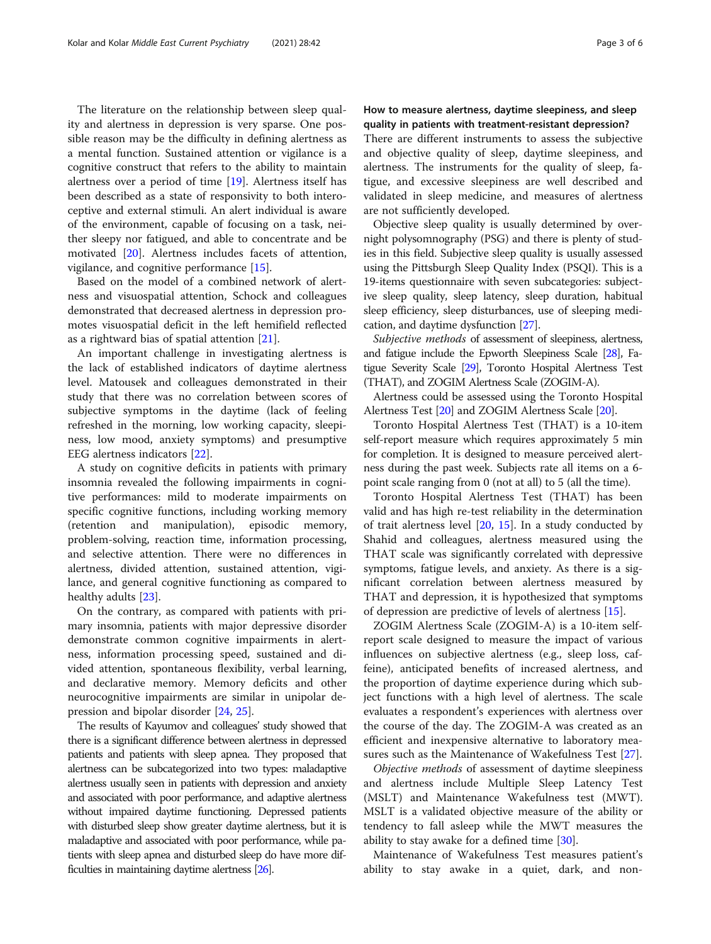The literature on the relationship between sleep quality and alertness in depression is very sparse. One possible reason may be the difficulty in defining alertness as a mental function. Sustained attention or vigilance is a cognitive construct that refers to the ability to maintain alertness over a period of time [[19\]](#page-5-0). Alertness itself has been described as a state of responsivity to both interoceptive and external stimuli. An alert individual is aware of the environment, capable of focusing on a task, neither sleepy nor fatigued, and able to concentrate and be motivated [\[20\]](#page-5-0). Alertness includes facets of attention, vigilance, and cognitive performance [[15\]](#page-4-0).

Based on the model of a combined network of alertness and visuospatial attention, Schock and colleagues demonstrated that decreased alertness in depression promotes visuospatial deficit in the left hemifield reflected as a rightward bias of spatial attention [\[21](#page-5-0)].

An important challenge in investigating alertness is the lack of established indicators of daytime alertness level. Matousek and colleagues demonstrated in their study that there was no correlation between scores of subjective symptoms in the daytime (lack of feeling refreshed in the morning, low working capacity, sleepiness, low mood, anxiety symptoms) and presumptive EEG alertness indicators [[22\]](#page-5-0).

A study on cognitive deficits in patients with primary insomnia revealed the following impairments in cognitive performances: mild to moderate impairments on specific cognitive functions, including working memory (retention and manipulation), episodic memory, problem-solving, reaction time, information processing, and selective attention. There were no differences in alertness, divided attention, sustained attention, vigilance, and general cognitive functioning as compared to healthy adults [[23\]](#page-5-0).

On the contrary, as compared with patients with primary insomnia, patients with major depressive disorder demonstrate common cognitive impairments in alertness, information processing speed, sustained and divided attention, spontaneous flexibility, verbal learning, and declarative memory. Memory deficits and other neurocognitive impairments are similar in unipolar depression and bipolar disorder [[24,](#page-5-0) [25\]](#page-5-0).

The results of Kayumov and colleagues' study showed that there is a significant difference between alertness in depressed patients and patients with sleep apnea. They proposed that alertness can be subcategorized into two types: maladaptive alertness usually seen in patients with depression and anxiety and associated with poor performance, and adaptive alertness without impaired daytime functioning. Depressed patients with disturbed sleep show greater daytime alertness, but it is maladaptive and associated with poor performance, while patients with sleep apnea and disturbed sleep do have more difficulties in maintaining daytime alertness [\[26\]](#page-5-0).

# How to measure alertness, daytime sleepiness, and sleep quality in patients with treatment-resistant depression?

There are different instruments to assess the subjective and objective quality of sleep, daytime sleepiness, and alertness. The instruments for the quality of sleep, fatigue, and excessive sleepiness are well described and validated in sleep medicine, and measures of alertness are not sufficiently developed.

Objective sleep quality is usually determined by overnight polysomnography (PSG) and there is plenty of studies in this field. Subjective sleep quality is usually assessed using the Pittsburgh Sleep Quality Index (PSQI). This is a 19-items questionnaire with seven subcategories: subjective sleep quality, sleep latency, sleep duration, habitual sleep efficiency, sleep disturbances, use of sleeping medication, and daytime dysfunction [\[27\]](#page-5-0).

Subjective methods of assessment of sleepiness, alertness, and fatigue include the Epworth Sleepiness Scale [\[28](#page-5-0)], Fatigue Severity Scale [\[29\]](#page-5-0), Toronto Hospital Alertness Test (THAT), and ZOGIM Alertness Scale (ZOGIM-A).

Alertness could be assessed using the Toronto Hospital Alertness Test [\[20\]](#page-5-0) and ZOGIM Alertness Scale [\[20\]](#page-5-0).

Toronto Hospital Alertness Test (THAT) is a 10-item self-report measure which requires approximately 5 min for completion. It is designed to measure perceived alertness during the past week. Subjects rate all items on a 6 point scale ranging from 0 (not at all) to 5 (all the time).

Toronto Hospital Alertness Test (THAT) has been valid and has high re-test reliability in the determination of trait alertness level [[20,](#page-5-0) [15](#page-4-0)]. In a study conducted by Shahid and colleagues, alertness measured using the THAT scale was significantly correlated with depressive symptoms, fatigue levels, and anxiety. As there is a significant correlation between alertness measured by THAT and depression, it is hypothesized that symptoms of depression are predictive of levels of alertness [\[15](#page-4-0)].

ZOGIM Alertness Scale (ZOGIM-A) is a 10-item selfreport scale designed to measure the impact of various influences on subjective alertness (e.g., sleep loss, caffeine), anticipated benefits of increased alertness, and the proportion of daytime experience during which subject functions with a high level of alertness. The scale evaluates a respondent's experiences with alertness over the course of the day. The ZOGIM-A was created as an efficient and inexpensive alternative to laboratory measures such as the Maintenance of Wakefulness Test [[27\]](#page-5-0).

Objective methods of assessment of daytime sleepiness and alertness include Multiple Sleep Latency Test (MSLT) and Maintenance Wakefulness test (MWT). MSLT is a validated objective measure of the ability or tendency to fall asleep while the MWT measures the ability to stay awake for a defined time [[30](#page-5-0)].

Maintenance of Wakefulness Test measures patient's ability to stay awake in a quiet, dark, and non-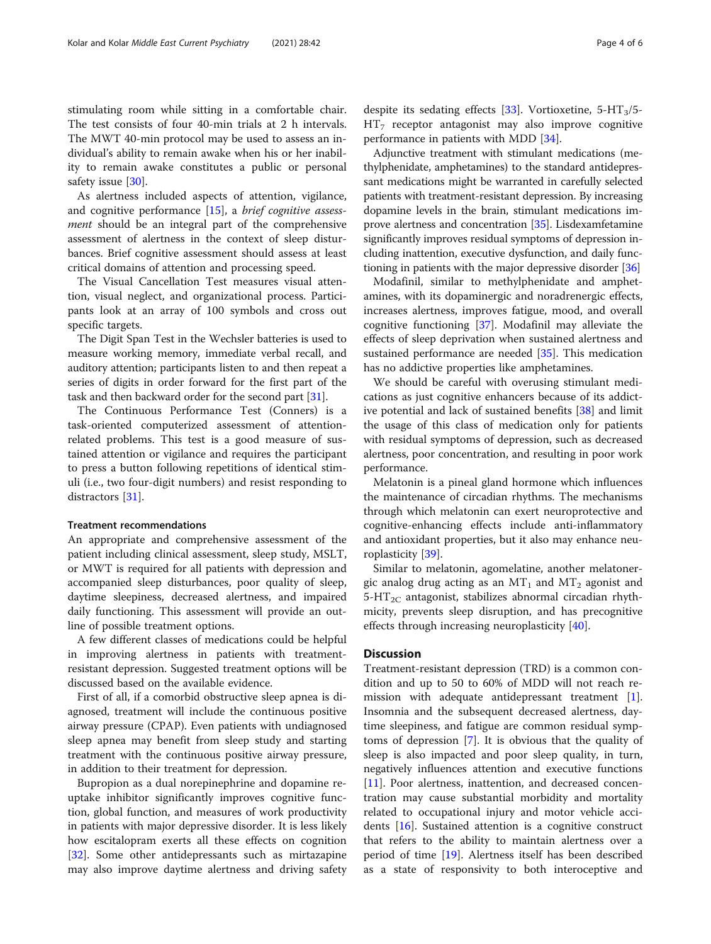stimulating room while sitting in a comfortable chair. The test consists of four 40-min trials at 2 h intervals. The MWT 40-min protocol may be used to assess an individual's ability to remain awake when his or her inability to remain awake constitutes a public or personal safety issue [[30](#page-5-0)].

As alertness included aspects of attention, vigilance, and cognitive performance [\[15](#page-4-0)], a brief cognitive assessment should be an integral part of the comprehensive assessment of alertness in the context of sleep disturbances. Brief cognitive assessment should assess at least critical domains of attention and processing speed.

The Visual Cancellation Test measures visual attention, visual neglect, and organizational process. Participants look at an array of 100 symbols and cross out specific targets.

The Digit Span Test in the Wechsler batteries is used to measure working memory, immediate verbal recall, and auditory attention; participants listen to and then repeat a series of digits in order forward for the first part of the task and then backward order for the second part [\[31\]](#page-5-0).

The Continuous Performance Test (Conners) is a task-oriented computerized assessment of attentionrelated problems. This test is a good measure of sustained attention or vigilance and requires the participant to press a button following repetitions of identical stimuli (i.e., two four-digit numbers) and resist responding to distractors [[31\]](#page-5-0).

#### Treatment recommendations

An appropriate and comprehensive assessment of the patient including clinical assessment, sleep study, MSLT, or MWT is required for all patients with depression and accompanied sleep disturbances, poor quality of sleep, daytime sleepiness, decreased alertness, and impaired daily functioning. This assessment will provide an outline of possible treatment options.

A few different classes of medications could be helpful in improving alertness in patients with treatmentresistant depression. Suggested treatment options will be discussed based on the available evidence.

First of all, if a comorbid obstructive sleep apnea is diagnosed, treatment will include the continuous positive airway pressure (CPAP). Even patients with undiagnosed sleep apnea may benefit from sleep study and starting treatment with the continuous positive airway pressure, in addition to their treatment for depression.

Bupropion as a dual norepinephrine and dopamine reuptake inhibitor significantly improves cognitive function, global function, and measures of work productivity in patients with major depressive disorder. It is less likely how escitalopram exerts all these effects on cognition [[32\]](#page-5-0). Some other antidepressants such as mirtazapine may also improve daytime alertness and driving safety

despite its sedating effects [\[33\]](#page-5-0). Vortioxetine,  $5-HT_3/5 HT<sub>7</sub>$  receptor antagonist may also improve cognitive performance in patients with MDD [[34\]](#page-5-0).

Adjunctive treatment with stimulant medications (methylphenidate, amphetamines) to the standard antidepressant medications might be warranted in carefully selected patients with treatment-resistant depression. By increasing dopamine levels in the brain, stimulant medications im-prove alertness and concentration [[35](#page-5-0)]. Lisdexamfetamine significantly improves residual symptoms of depression including inattention, executive dysfunction, and daily functioning in patients with the major depressive disorder [[36\]](#page-5-0)

Modafinil, similar to methylphenidate and amphetamines, with its dopaminergic and noradrenergic effects, increases alertness, improves fatigue, mood, and overall cognitive functioning [\[37](#page-5-0)]. Modafinil may alleviate the effects of sleep deprivation when sustained alertness and sustained performance are needed [[35\]](#page-5-0). This medication has no addictive properties like amphetamines.

We should be careful with overusing stimulant medications as just cognitive enhancers because of its addictive potential and lack of sustained benefits [[38](#page-5-0)] and limit the usage of this class of medication only for patients with residual symptoms of depression, such as decreased alertness, poor concentration, and resulting in poor work performance.

Melatonin is a pineal gland hormone which influences the maintenance of circadian rhythms. The mechanisms through which melatonin can exert neuroprotective and cognitive-enhancing effects include anti-inflammatory and antioxidant properties, but it also may enhance neuroplasticity [[39\]](#page-5-0).

Similar to melatonin, agomelatine, another melatonergic analog drug acting as an  $MT_1$  and  $MT_2$  agonist and  $5-HT_{2C}$  antagonist, stabilizes abnormal circadian rhythmicity, prevents sleep disruption, and has precognitive effects through increasing neuroplasticity [[40](#page-5-0)].

#### **Discussion**

Treatment-resistant depression (TRD) is a common condition and up to 50 to 60% of MDD will not reach re-mission with adequate antidepressant treatment [\[1](#page-4-0)]. Insomnia and the subsequent decreased alertness, daytime sleepiness, and fatigue are common residual symptoms of depression [[7\]](#page-4-0). It is obvious that the quality of sleep is also impacted and poor sleep quality, in turn, negatively influences attention and executive functions [[11\]](#page-4-0). Poor alertness, inattention, and decreased concentration may cause substantial morbidity and mortality related to occupational injury and motor vehicle accidents [\[16](#page-5-0)]. Sustained attention is a cognitive construct that refers to the ability to maintain alertness over a period of time [\[19\]](#page-5-0). Alertness itself has been described as a state of responsivity to both interoceptive and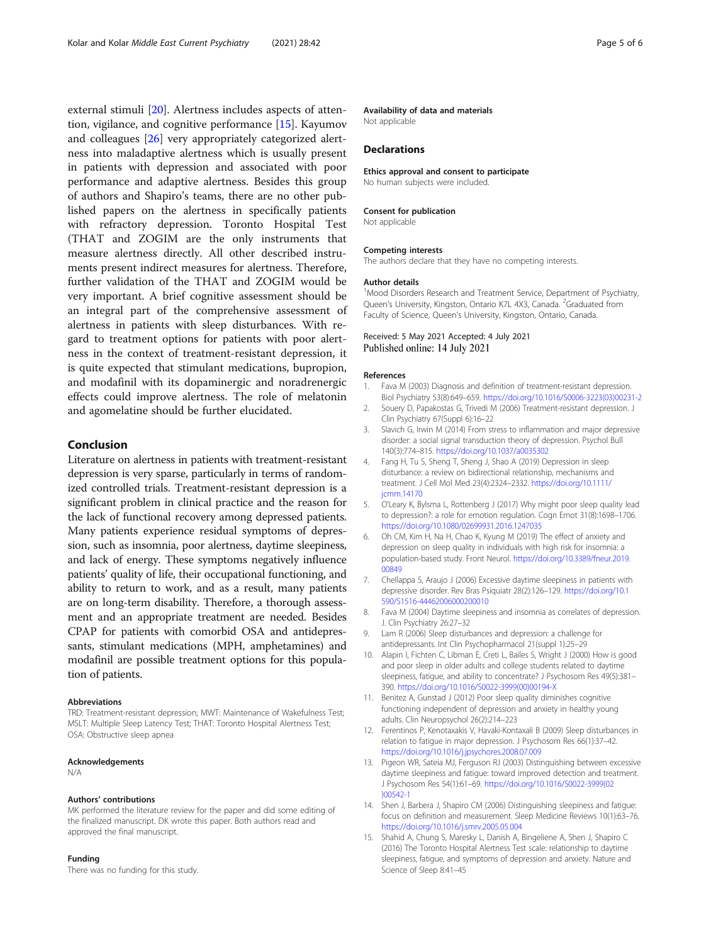<span id="page-4-0"></span>external stimuli [[20\]](#page-5-0). Alertness includes aspects of attention, vigilance, and cognitive performance [15]. Kayumov and colleagues [[26\]](#page-5-0) very appropriately categorized alertness into maladaptive alertness which is usually present in patients with depression and associated with poor performance and adaptive alertness. Besides this group of authors and Shapiro's teams, there are no other published papers on the alertness in specifically patients with refractory depression. Toronto Hospital Test (THAT and ZOGIM are the only instruments that measure alertness directly. All other described instruments present indirect measures for alertness. Therefore, further validation of the THAT and ZOGIM would be very important. A brief cognitive assessment should be an integral part of the comprehensive assessment of alertness in patients with sleep disturbances. With regard to treatment options for patients with poor alertness in the context of treatment-resistant depression, it is quite expected that stimulant medications, bupropion, and modafinil with its dopaminergic and noradrenergic effects could improve alertness. The role of melatonin and agomelatine should be further elucidated.

## Conclusion

Literature on alertness in patients with treatment-resistant depression is very sparse, particularly in terms of randomized controlled trials. Treatment-resistant depression is a significant problem in clinical practice and the reason for the lack of functional recovery among depressed patients. Many patients experience residual symptoms of depression, such as insomnia, poor alertness, daytime sleepiness, and lack of energy. These symptoms negatively influence patients' quality of life, their occupational functioning, and ability to return to work, and as a result, many patients are on long-term disability. Therefore, a thorough assessment and an appropriate treatment are needed. Besides CPAP for patients with comorbid OSA and antidepressants, stimulant medications (MPH, amphetamines) and modafinil are possible treatment options for this population of patients.

#### Abbreviations

TRD: Treatment-resistant depression; MWT: Maintenance of Wakefulness Test; MSLT: Multiple Sleep Latency Test; THAT: Toronto Hospital Alertness Test; OSA: Obstructive sleep apnea

#### Acknowledgements

N/A

#### Authors' contributions

MK performed the literature review for the paper and did some editing of the finalized manuscript. DK wrote this paper. Both authors read and approved the final manuscript.

#### Funding

There was no funding for this study.

#### Availability of data and materials

Not applicable

#### Declarations

Ethics approval and consent to participate

No human subjects were included.

#### Consent for publication

Not applicable

#### Competing interests

The authors declare that they have no competing interests.

#### Author details

<sup>1</sup> Mood Disorders Research and Treatment Service, Department of Psychiatry, Queen's University, Kingston, Ontario K7L 4X3, Canada. <sup>2</sup>Graduated from Faculty of Science, Queen's University, Kingston, Ontario, Canada.

#### Received: 5 May 2021 Accepted: 4 July 2021 Published online: 14 July 2021

#### References

- 1. Fava M (2003) Diagnosis and definition of treatment-resistant depression. Biol Psychiatry 53(8):649–659. [https://doi.org/10.1016/S0006-3223\(03\)00231-2](https://doi.org/10.1016/S0006-3223(03)00231-2)
- 2. Souery D, Papakostas G, Trivedi M (2006) Treatment-resistant depression. J Clin Psychiatry 67(Suppl 6):16–22
- 3. Slavich G, Irwin M (2014) From stress to inflammation and major depressive disorder: a social signal transduction theory of depression. Psychol Bull 140(3):774–815. <https://doi.org/10.1037/a0035302>
- 4. Fang H, Tu S, Sheng T, Sheng J, Shao A (2019) Depression in sleep disturbance: a review on bidirectional relationship, mechanisms and treatment. J Cell Mol Med 23(4):2324–2332. [https://doi.org/10.1111/](https://doi.org/10.1111/jcmm.14170) [jcmm.14170](https://doi.org/10.1111/jcmm.14170)
- 5. O'Leary K, Bylsma L, Rottenberg J (2017) Why might poor sleep quality lead to depression?: a role for emotion regulation. Cogn Emot 31(8):1698–1706. <https://doi.org/10.1080/02699931.2016.1247035>
- 6. Oh CM, Kim H, Na H, Chao K, Kyung M (2019) The effect of anxiety and depression on sleep quality in individuals with high risk for insomnia: a population-based study. Front Neurol. [https://doi.org/10.3389/fneur.2019.](https://doi.org/10.3389/fneur.2019.00849) [00849](https://doi.org/10.3389/fneur.2019.00849)
- 7. Chellappa S, Araujo J (2006) Excessive daytime sleepiness in patients with depressive disorder. Rev Bras Psiquiatr 28(2):126–129. [https://doi.org/10.1](https://doi.org/10.1590/S1516-44462006000200010) [590/S1516-44462006000200010](https://doi.org/10.1590/S1516-44462006000200010)
- 8. Fava M (2004) Daytime sleepiness and insomnia as correlates of depression. J. Clin Psychiatry 26:27–32
- 9. Lam R (2006) Sleep disturbances and depression: a challenge for antidepressants. Int Clin Psychopharmacol 21(suppl 1):25–29
- 10. Alapin I, Fichten C, Libman E, Creti L, Bailes S, Wright J (2000) How is good and poor sleep in older adults and college students related to daytime sleepiness, fatigue, and ability to concentrate? J Psychosom Res 49(5):381– 390. [https://doi.org/10.1016/S0022-3999\(00\)00194-X](https://doi.org/10.1016/S0022-3999(00)00194-X)
- 11. Benitez A, Gunstad J (2012) Poor sleep quality diminishes cognitive functioning independent of depression and anxiety in healthy young adults. Clin Neuropsychol 26(2):214–223
- 12. Ferentinos P, Kenotaxakis V, Havaki-Kontaxali B (2009) Sleep disturbances in relation to fatigue in major depression. J Psychosom Res 66(1):37–42. <https://doi.org/10.1016/j.jpsychores.2008.07.009>
- 13. Pigeon WR, Sateia MJ, Ferguson RJ (2003) Distinguishing between excessive daytime sleepiness and fatigue: toward improved detection and treatment. J Psychosom Res 54(1):61–69. [https://doi.org/10.1016/S0022-3999\(02](https://doi.org/10.1016/S0022-3999(02)00542-1) [\)00542-1](https://doi.org/10.1016/S0022-3999(02)00542-1)
- 14. Shen J, Barbera J, Shapiro CM (2006) Distinguishing sleepiness and fatigue: focus on definition and measurement. Sleep Medicine Reviews 10(1):63–76. <https://doi.org/10.1016/j.smrv.2005.05.004>
- 15. Shahid A, Chung S, Maresky L, Danish A, Bingeliene A, Shen J, Shapiro C (2016) The Toronto Hospital Alertness Test scale: relationship to daytime sleepiness, fatigue, and symptoms of depression and anxiety. Nature and Science of Sleep 8:41–45